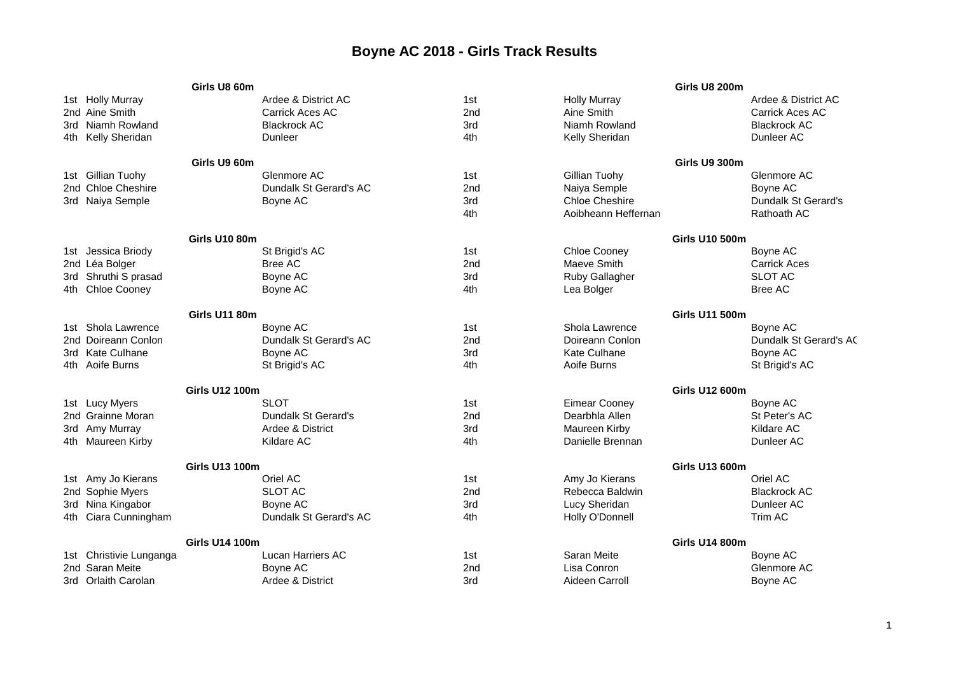## **Boyne AC 2018 - Girls Track Results**

|                         | Girls U8 60m          |                          |                 |                       | Girls U8 200m         |                        |
|-------------------------|-----------------------|--------------------------|-----------------|-----------------------|-----------------------|------------------------|
| 1st Holly Murray        |                       | Ardee & District AC      | 1st             | <b>Holly Murray</b>   |                       | Ardee & District AC    |
| 2nd Aine Smith          |                       | Carrick Aces AC          | 2 <sub>nd</sub> | Aine Smith            |                       | Carrick Aces AC        |
| 3rd Niamh Rowland       |                       | <b>Blackrock AC</b>      | 3rd             | Niamh Rowland         |                       | <b>Blackrock AC</b>    |
| 4th Kelly Sheridan      |                       | Dunleer                  | 4th             | Kelly Sheridan        |                       | Dunleer AC             |
|                         | Girls U9 60m          |                          |                 |                       | Girls U9 300m         |                        |
| 1st Gillian Tuohy       |                       | Glenmore AC              | 1st             | Gillian Tuohy         |                       | Glenmore AC            |
| 2nd Chloe Cheshire      |                       | Dundalk St Gerard's AC   | 2nd             | Naiya Semple          |                       | Boyne AC               |
| 3rd Naiya Semple        |                       | Boyne AC                 | 3rd             | <b>Chloe Cheshire</b> |                       | Dundalk St Gerard's    |
|                         |                       |                          | 4th             | Aoibheann Heffernan   |                       | Rathoath AC            |
|                         | <b>Girls U10 80m</b>  |                          |                 |                       | <b>Girls U10 500m</b> |                        |
| 1st Jessica Briody      |                       | St Brigid's AC           | 1st             | Chloe Cooney          |                       | Boyne AC               |
| 2nd Léa Bolger          |                       | Bree AC                  | 2nd             | Maeve Smith           |                       | <b>Carrick Aces</b>    |
| 3rd Shruthi S prasad    |                       | Boyne AC                 | 3rd             | <b>Ruby Gallagher</b> |                       | <b>SLOT AC</b>         |
| 4th Chloe Cooney        |                       | Boyne AC                 | 4th             | Lea Bolger            |                       | <b>Bree AC</b>         |
|                         |                       |                          |                 |                       |                       |                        |
| Girls U11 80m           |                       |                          |                 | <b>Girls U11 500m</b> |                       |                        |
| Shola Lawrence<br>1st - |                       | Boyne AC                 | 1st             | Shola Lawrence        |                       | Boyne AC               |
| 2nd Doireann Conlon     |                       | Dundalk St Gerard's AC   | 2 <sub>nd</sub> | Doireann Conlon       |                       | Dundalk St Gerard's AC |
| 3rd Kate Culhane        |                       | Boyne AC                 | 3rd             | Kate Culhane          |                       | Boyne AC               |
| 4th Aoife Burns         |                       | St Brigid's AC           | 4th             | Aoife Burns           |                       | St Brigid's AC         |
|                         | <b>Girls U12 100m</b> |                          |                 | <b>Girls U12 600m</b> |                       |                        |
| 1st Lucy Myers          |                       | <b>SLOT</b>              | 1st             | <b>Eimear Cooney</b>  |                       | Boyne AC               |
| 2nd Grainne Moran       |                       | Dundalk St Gerard's      | 2nd             | Dearbhla Allen        |                       | St Peter's AC          |
| 3rd Amy Murray          |                       | Ardee & District         | 3rd             | Maureen Kirby         |                       | Kildare AC             |
| 4th Maureen Kirby       |                       | Kildare AC               | 4th             | Danielle Brennan      |                       | Dunleer AC             |
|                         | <b>Girls U13 100m</b> |                          |                 | <b>Girls U13 600m</b> |                       |                        |
| 1st Amy Jo Kierans      |                       | Oriel AC                 | 1st             | Amy Jo Kierans        |                       | Oriel AC               |
| 2nd Sophie Myers        |                       | <b>SLOT AC</b>           | 2 <sub>nd</sub> | Rebecca Baldwin       |                       | <b>Blackrock AC</b>    |
| 3rd Nina Kingabor       |                       | Boyne AC                 | 3rd             | Lucy Sheridan         |                       | Dunleer AC             |
| 4th Ciara Cunningham    |                       | Dundalk St Gerard's AC   | 4th             | Holly O'Donnell       |                       | Trim AC                |
|                         | <b>Girls U14 100m</b> |                          |                 |                       | <b>Girls U14 800m</b> |                        |
| 1st Christivie Lunganga |                       | <b>Lucan Harriers AC</b> | 1st             | Saran Meite           |                       | Boyne AC               |
| 2nd Saran Meite         |                       | Boyne AC                 | 2nd             | Lisa Conron           |                       | Glenmore AC            |
| 3rd Orlaith Carolan     |                       | Ardee & District         | 3rd             | Aideen Carroll        |                       | Boyne AC               |